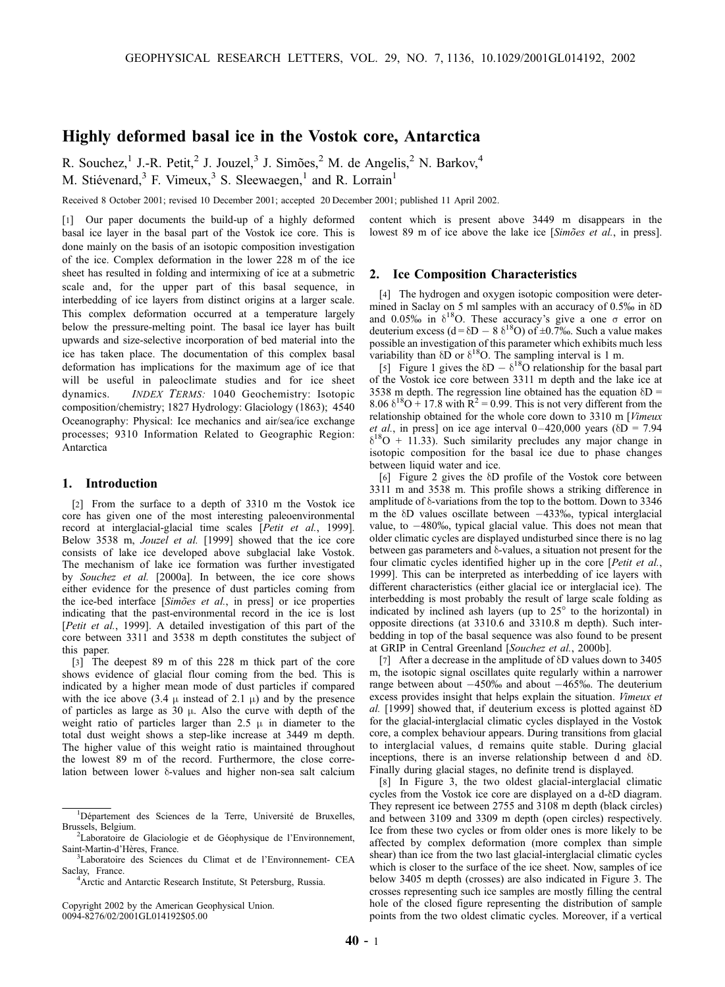# Highly deformed basal ice in the Vostok core, Antarctica

R. Souchez,<sup>1</sup> J.-R. Petit,<sup>2</sup> J. Jouzel,<sup>3</sup> J. Simões,<sup>2</sup> M. de Angelis,<sup>2</sup> N. Barkov,<sup>4</sup> M. Stiévenard, $3$  F. Vimeux, $3$  S. Sleewaegen, $1$  and R. Lorrain<sup>1</sup>

Received 8 October 2001; revised 10 December 2001; accepted 20 December 2001; published 11 April 2002.

[1] Our paper documents the build-up of a highly deformed basal ice layer in the basal part of the Vostok ice core. This is done mainly on the basis of an isotopic composition investigation of the ice. Complex deformation in the lower 228 m of the ice sheet has resulted in folding and intermixing of ice at a submetric scale and, for the upper part of this basal sequence, in interbedding of ice layers from distinct origins at a larger scale. This complex deformation occurred at a temperature largely below the pressure-melting point. The basal ice layer has built upwards and size-selective incorporation of bed material into the ice has taken place. The documentation of this complex basal deformation has implications for the maximum age of ice that will be useful in paleoclimate studies and for ice sheet dynamics. INDEX TERMS: 1040 Geochemistry: Isotopic composition/chemistry; 1827 Hydrology: Glaciology (1863); 4540 Oceanography: Physical: Ice mechanics and air/sea/ice exchange processes; 9310 Information Related to Geographic Region: Antarctica

#### 1. Introduction

[2] From the surface to a depth of 3310 m the Vostok ice core has given one of the most interesting paleoenvironmental record at interglacial-glacial time scales [Petit et al., 1999]. Below 3538 m, Jouzel et al. [1999] showed that the ice core consists of lake ice developed above subglacial lake Vostok. The mechanism of lake ice formation was further investigated by Souchez et al. [2000a]. In between, the ice core shows either evidence for the presence of dust particles coming from the ice-bed interface [Simões et al., in press] or ice properties indicating that the past-environmental record in the ice is lost [Petit et al., 1999]. A detailed investigation of this part of the core between 3311 and 3538 m depth constitutes the subject of this paper.

[3] The deepest 89 m of this 228 m thick part of the core shows evidence of glacial flour coming from the bed. This is indicated by a higher mean mode of dust particles if compared with the ice above (3.4  $\mu$  instead of 2.1  $\mu$ ) and by the presence of particles as large as 30  $\mu$ . Also the curve with depth of the weight ratio of particles larger than 2.5  $\mu$  in diameter to the total dust weight shows a step-like increase at 3449 m depth. The higher value of this weight ratio is maintained throughout the lowest 89 m of the record. Furthermore, the close correlation between lower  $\delta$ -values and higher non-sea salt calcium

<sup>4</sup> Arctic and Antarctic Research Institute, St Petersburg, Russia.

Copyright 2002 by the American Geophysical Union. 0094-8276/02/2001GL014192\$05.00

content which is present above 3449 m disappears in the lowest 89 m of ice above the lake ice [Simoes et al., in press].

#### 2. Ice Composition Characteristics

[4] The hydrogen and oxygen isotopic composition were determined in Saclay on 5 ml samples with an accuracy of 0.5% in  $\delta$ D and 0.05‰ in  $\delta^{18}$ O. These accuracy's give a one  $\sigma$  error on deuterium excess (d= $\delta D - 8 \delta^{18}O$ ) of  $\pm 0.7$ %. Such a value makes possible an investigation of this parameter which exhibits much less variability than  $\delta \overrightarrow{D}$  or  $\delta^{18}$ O. The sampling interval is 1 m.

[5] Figure 1 gives the  $\delta D - \delta^{18}O$  relationship for the basal part of the Vostok ice core between 3311 m depth and the lake ice at 3538 m depth. The regression line obtained has the equation  $\delta D =$ 8.06  $\delta^{18}O + 17.8$  with  $\mathbb{R}^2 = 0.99$ . This is not very different from the relationship obtained for the whole core down to 3310 m [Vimeux et al., in press] on ice age interval  $0-420,000$  years ( $\delta D = 7.94$ )  $\delta^{18}O + 11.33$ ). Such similarity precludes any major change in isotopic composition for the basal ice due to phase changes between liquid water and ice.

[6] Figure 2 gives the  $\delta$ D profile of the Vostok core between 3311 m and 3538 m. This profile shows a striking difference in amplitude of  $\delta$ -variations from the top to the bottom. Down to 3346 m the  $\delta$ D values oscillate between  $-433\%$ , typical interglacial value, to  $-480\%$ , typical glacial value. This does not mean that older climatic cycles are displayed undisturbed since there is no lag between gas parameters and  $\delta$ -values, a situation not present for the four climatic cycles identified higher up in the core [Petit et al., 1999]. This can be interpreted as interbedding of ice layers with different characteristics (either glacial ice or interglacial ice). The interbedding is most probably the result of large scale folding as indicated by inclined ash layers (up to  $25^\circ$  to the horizontal) in opposite directions (at 3310.6 and 3310.8 m depth). Such interbedding in top of the basal sequence was also found to be present at GRIP in Central Greenland [Souchez et al., 2000b].

[7] After a decrease in the amplitude of  $\delta$ D values down to 3405 m, the isotopic signal oscillates quite regularly within a narrower range between about  $-450\%$  and about  $-465\%$ . The deuterium excess provides insight that helps explain the situation. Vimeux et al. [1999] showed that, if deuterium excess is plotted against  $\delta D$ for the glacial-interglacial climatic cycles displayed in the Vostok core, a complex behaviour appears. During transitions from glacial to interglacial values, d remains quite stable. During glacial inceptions, there is an inverse relationship between d and  $\delta D$ . Finally during glacial stages, no definite trend is displayed.

[8] In Figure 3, the two oldest glacial-interglacial climatic cycles from the Vostok ice core are displayed on a d- $\delta$ D diagram. They represent ice between 2755 and 3108 m depth (black circles) and between 3109 and 3309 m depth (open circles) respectively. Ice from these two cycles or from older ones is more likely to be affected by complex deformation (more complex than simple shear) than ice from the two last glacial-interglacial climatic cycles which is closer to the surface of the ice sheet. Now, samples of ice below 3405 m depth (crosses) are also indicated in Figure 3. The crosses representing such ice samples are mostly filling the central hole of the closed figure representing the distribution of sample points from the two oldest climatic cycles. Moreover, if a vertical

<sup>&</sup>lt;sup>1</sup>Département des Sciences de la Terre, Université de Bruxelles, Brussels, Belgium. <sup>2</sup>

<sup>&</sup>lt;sup>2</sup>Laboratoire de Glaciologie et de Géophysique de l'Environnement, Saint-Martin-d'Hères, France.

<sup>&</sup>lt;sup>3</sup>Laboratoire des Sciences du Climat et de l'Environnement- CEA Saclay, France.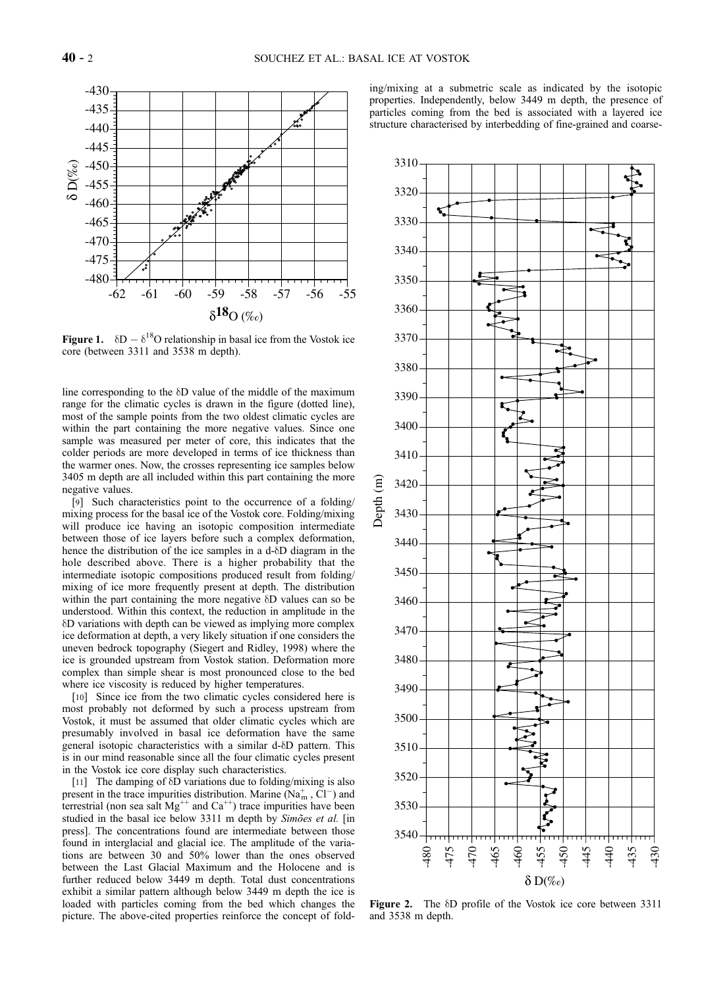

Figure 1.  $\delta D - \delta^{18}O$  relationship in basal ice from the Vostok ice core (between 3311 and 3538 m depth).

line corresponding to the  $\delta$ D value of the middle of the maximum range for the climatic cycles is drawn in the figure (dotted line), most of the sample points from the two oldest climatic cycles are within the part containing the more negative values. Since one sample was measured per meter of core, this indicates that the colder periods are more developed in terms of ice thickness than the warmer ones. Now, the crosses representing ice samples below 3405 m depth are all included within this part containing the more negative values.

[9] Such characteristics point to the occurrence of a folding/ mixing process for the basal ice of the Vostok core. Folding/mixing will produce ice having an isotopic composition intermediate between those of ice layers before such a complex deformation, hence the distribution of the ice samples in a d- $\delta$ D diagram in the hole described above. There is a higher probability that the intermediate isotopic compositions produced result from folding/ mixing of ice more frequently present at depth. The distribution within the part containing the more negative  $\delta$ D values can so be understood. Within this context, the reduction in amplitude in the dD variations with depth can be viewed as implying more complex ice deformation at depth, a very likely situation if one considers the uneven bedrock topography (Siegert and Ridley, 1998) where the ice is grounded upstream from Vostok station. Deformation more complex than simple shear is most pronounced close to the bed where ice viscosity is reduced by higher temperatures.

[10] Since ice from the two climatic cycles considered here is most probably not deformed by such a process upstream from Vostok, it must be assumed that older climatic cycles which are presumably involved in basal ice deformation have the same general isotopic characteristics with a similar d- $\delta$ D pattern. This is in our mind reasonable since all the four climatic cycles present in the Vostok ice core display such characteristics.

[11] The damping of  $\delta$ D variations due to folding/mixing is also present in the trace impurities distribution. Marine  $(Na<sub>m</sub><sup>+</sup>, C<sub>l</sub><sup>-</sup>)$  and terrestrial (non sea salt  $Mg^{++}$  and  $Ca^{++}$ ) trace impurities have been studied in the basal ice below 3311 m depth by Simoes et al. [in press]. The concentrations found are intermediate between those found in interglacial and glacial ice. The amplitude of the variations are between 30 and 50% lower than the ones observed between the Last Glacial Maximum and the Holocene and is further reduced below 3449 m depth. Total dust concentrations exhibit a similar pattern although below 3449 m depth the ice is loaded with particles coming from the bed which changes the picture. The above-cited properties reinforce the concept of folding/mixing at a submetric scale as indicated by the isotopic properties. Independently, below 3449 m depth, the presence of particles coming from the bed is associated with a layered ice structure characterised by interbedding of fine-grained and coarse-



Figure 2. The  $\delta$ D profile of the Vostok ice core between 3311 and 3538 m depth.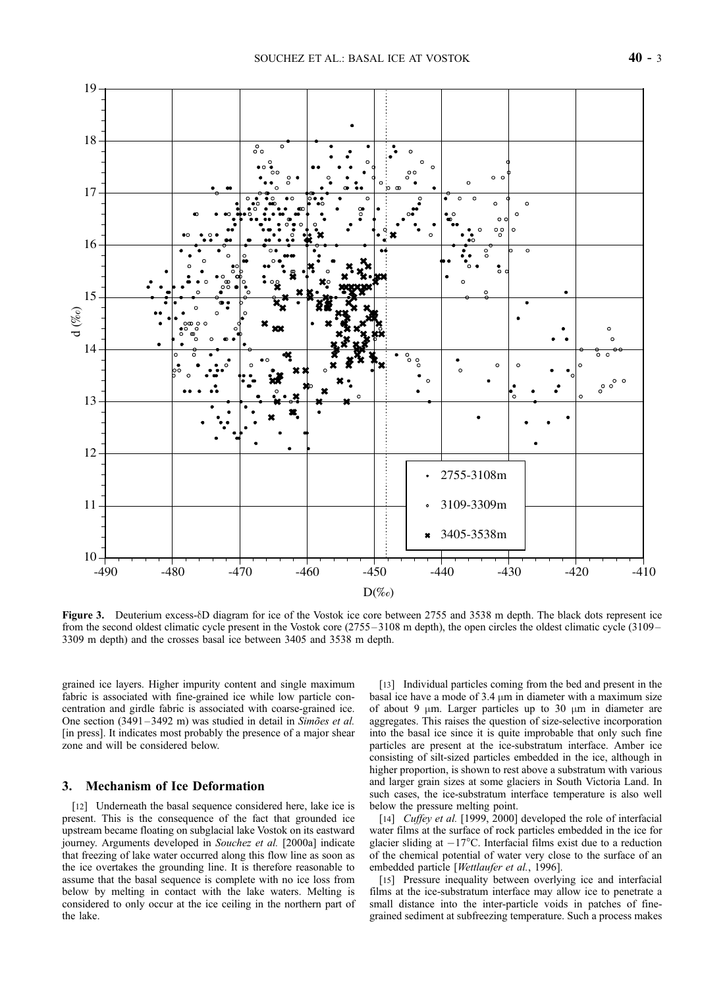

Figure 3. Deuterium excess- $\delta$ D diagram for ice of the Vostok ice core between 2755 and 3538 m depth. The black dots represent ice from the second oldest climatic cycle present in the Vostok core (2755 – 3108 m depth), the open circles the oldest climatic cycle (3109 – 3309 m depth) and the crosses basal ice between 3405 and 3538 m depth.

grained ice layers. Higher impurity content and single maximum fabric is associated with fine-grained ice while low particle concentration and girdle fabric is associated with coarse-grained ice. One section  $(3491 - 3492 \text{ m})$  was studied in detail in Simões et al. [in press]. It indicates most probably the presence of a major shear zone and will be considered below.

### 3. Mechanism of Ice Deformation

[12] Underneath the basal sequence considered here, lake ice is present. This is the consequence of the fact that grounded ice upstream became floating on subglacial lake Vostok on its eastward journey. Arguments developed in Souchez et al. [2000a] indicate that freezing of lake water occurred along this flow line as soon as the ice overtakes the grounding line. It is therefore reasonable to assume that the basal sequence is complete with no ice loss from below by melting in contact with the lake waters. Melting is considered to only occur at the ice ceiling in the northern part of the lake.

[13] Individual particles coming from the bed and present in the basal ice have a mode of  $3.4 \mu m$  in diameter with a maximum size of about 9  $\mu$ m. Larger particles up to 30  $\mu$ m in diameter are aggregates. This raises the question of size-selective incorporation into the basal ice since it is quite improbable that only such fine particles are present at the ice-substratum interface. Amber ice consisting of silt-sized particles embedded in the ice, although in higher proportion, is shown to rest above a substratum with various and larger grain sizes at some glaciers in South Victoria Land. In such cases, the ice-substratum interface temperature is also well below the pressure melting point.

[14] Cuffey et al. [1999, 2000] developed the role of interfacial water films at the surface of rock particles embedded in the ice for glacier sliding at  $-17^{\circ}$ C. Interfacial films exist due to a reduction of the chemical potential of water very close to the surface of an embedded particle [Wettlaufer et al., 1996].

[15] Pressure inequality between overlying ice and interfacial films at the ice-substratum interface may allow ice to penetrate a small distance into the inter-particle voids in patches of finegrained sediment at subfreezing temperature. Such a process makes